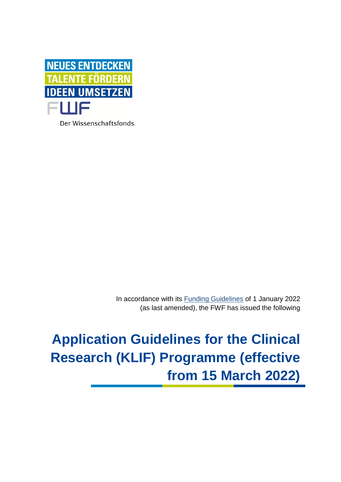

Der Wissenschaftsfonds.

In accordance with its [Funding Guidelines](https://www.fwf.ac.at/en/research-funding/decision-making-procedure-evaluation/funding-guidelines/) of 1 January 2022 (as last amended), the FWF has issued the following

# **Application Guidelines for the Clinical Research (KLIF) Programme (effective from 15 March 2022)**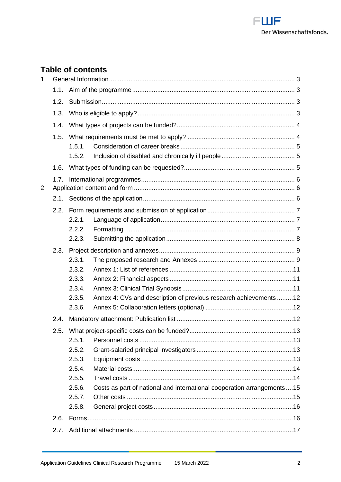

# **Table of contents**

| 1 <sub>1</sub> |      |                                                                                  |
|----------------|------|----------------------------------------------------------------------------------|
|                | 1.1. |                                                                                  |
|                | 1.2. |                                                                                  |
|                | 1.3. |                                                                                  |
|                | 1.4. |                                                                                  |
|                | 1.5. |                                                                                  |
|                |      | 1.5.1.                                                                           |
|                |      | 1.5.2.                                                                           |
|                | 1.6. |                                                                                  |
|                | 1.7. |                                                                                  |
| 2.             |      |                                                                                  |
|                |      |                                                                                  |
|                | 2.2. |                                                                                  |
|                |      | 2.2.1.                                                                           |
|                |      | 2.2.2.                                                                           |
|                |      | 2.2.3.                                                                           |
|                | 2.3. |                                                                                  |
|                |      | 2.3.1.                                                                           |
|                |      | 2.3.2.                                                                           |
|                |      | 2.3.3.                                                                           |
|                |      | 2.3.4.                                                                           |
|                |      | Annex 4: CVs and description of previous research achievements12<br>2.3.5.       |
|                |      | 2.3.6.                                                                           |
|                | 2.4. |                                                                                  |
|                |      |                                                                                  |
|                |      | 2.5.1.                                                                           |
|                |      | 2.5.2.                                                                           |
|                |      | 2.5.3.                                                                           |
|                |      | 2.5.4.                                                                           |
|                |      | 2.5.5.                                                                           |
|                |      | Costs as part of national and international cooperation arrangements15<br>2.5.6. |
|                |      | 2.5.7.                                                                           |
|                |      | 2.5.8.                                                                           |
|                | 2.6. |                                                                                  |
|                | 2.7. |                                                                                  |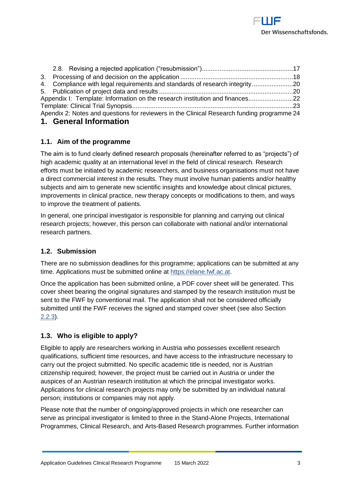

|                                                                              |  | 4. Compliance with legal requirements and standards of research integrity20                |  |  |
|------------------------------------------------------------------------------|--|--------------------------------------------------------------------------------------------|--|--|
|                                                                              |  |                                                                                            |  |  |
| Appendix I: Template: Information on the research institution and finances22 |  |                                                                                            |  |  |
|                                                                              |  |                                                                                            |  |  |
|                                                                              |  | Apendix 2: Notes and questions for reviewers in the Clinical Research funding programme 24 |  |  |
|                                                                              |  | 1 Canaral Information                                                                      |  |  |

# <span id="page-2-1"></span><span id="page-2-0"></span>**1. General Information**

# **1.1. Aim of the programme**

The aim is to fund clearly defined research proposals (hereinafter referred to as "projects") of high academic quality at an international level in the field of clinical research. Research efforts must be initiated by academic researchers, and business organisations must not have a direct commercial interest in the results. They must involve human patients and/or healthy subjects and aim to generate new scientific insights and knowledge about clinical pictures, improvements in clinical practice, new therapy concepts or modifications to them, and ways to improve the treatment of patients.

In general, one principal investigator is responsible for planning and carrying out clinical research projects; however, this person can collaborate with national and/or international research partners.

# <span id="page-2-2"></span>**1.2. Submission**

There are no submission deadlines for this programme; applications can be submitted at any time. Applications must be submitted online at [https://elane.fwf.ac.at.](https://elane.fwf.ac.at/)

Once the application has been submitted online, a PDF cover sheet will be generated. This cover sheet bearing the original signatures and stamped by the research institution must be sent to the FWF by conventional mail. The application shall not be considered officially submitted until the FWF receives the signed and stamped cover sheet (see also Section 2.2.3).

# <span id="page-2-3"></span>**1.3. Who is eligible to apply?**

Eligible to apply are researchers working in Austria who possesses excellent research qualifications, sufficient time resources, and have access to the infrastructure necessary to carry out the project submitted. No specific academic title is needed, nor is Austrian citizenship required; however, the project must be carried out in Austria or under the auspices of an Austrian research institution at which the principal investigator works. Applications for clinical research projects may only be submitted by an individual natural person; institutions or companies may not apply.

Please note that the number of ongoing/approved projects in which one researcher can serve as principal investigator is limited to three in the Stand-Alone Projects, International Programmes, Clinical Research, and Arts-Based Research programmes. Further information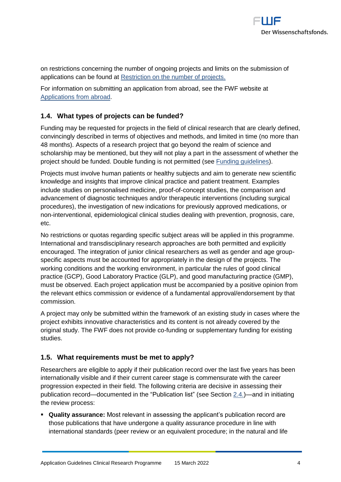

on restrictions concerning the number of ongoing projects and limits on the submission of applications can be found at [Restriction on the number of projects.](https://www.fwf.ac.at/fileadmin/files/Dokumente/Antragstellung/project_number_limit.pdf)

For information on submitting an application from abroad, see the FWF website at [Applications from abroad.](https://www.fwf.ac.at/en/research-funding/applications-from-abroad/)

# <span id="page-3-0"></span>**1.4. What types of projects can be funded?**

Funding may be requested for projects in the field of clinical research that are clearly defined, convincingly described in terms of objectives and methods, and limited in time (no more than 48 months). Aspects of a research project that go beyond the realm of science and scholarship may be mentioned, but they will not play a part in the assessment of whether the project should be funded. Double funding is not permitted (see [Funding guidelines\)](https://www.fwf.ac.at/fileadmin/files/Dokumente/Ueber_den_FWF/Publikationen/FWF-relevante_Publikationen/fwf_funding_guidelines.pdf).

Projects must involve human patients or healthy subjects and aim to generate new scientific knowledge and insights that improve clinical practice and patient treatment. Examples include studies on personalised medicine, proof-of-concept studies, the comparison and advancement of diagnostic techniques and/or therapeutic interventions (including surgical procedures), the investigation of new indications for previously approved medications, or non-interventional, epidemiological clinical studies dealing with prevention, prognosis, care, etc.

No restrictions or quotas regarding specific subject areas will be applied in this programme. International and transdisciplinary research approaches are both permitted and explicitly encouraged. The integration of junior clinical researchers as well as gender and age groupspecific aspects must be accounted for appropriately in the design of the projects. The working conditions and the working environment, in particular the rules of good clinical practice (GCP), Good Laboratory Practice (GLP), and good manufacturing practice (GMP), must be observed. Each project application must be accompanied by a positive opinion from the relevant ethics commission or evidence of a fundamental approval/endorsement by that commission.

A project may only be submitted within the framework of an existing study in cases where the project exhibits innovative characteristics and its content is not already covered by the original study. The FWF does not provide co-funding or supplementary funding for existing studies.

# <span id="page-3-1"></span>**1.5. What requirements must be met to apply?**

<span id="page-3-2"></span>Researchers are eligible to apply if their publication record over the last five years has been internationally visible and if their current career stage is commensurate with the career progression expected in their field. The following criteria are decisive in assessing their publication record—documented in the "Publication list" (see Section 2.4.)—and in initiating the review process:

▪ **Quality assurance:** Most relevant in assessing the applicant's publication record are those publications that have undergone a quality assurance procedure in line with international standards (peer review or an equivalent procedure; in the natural and life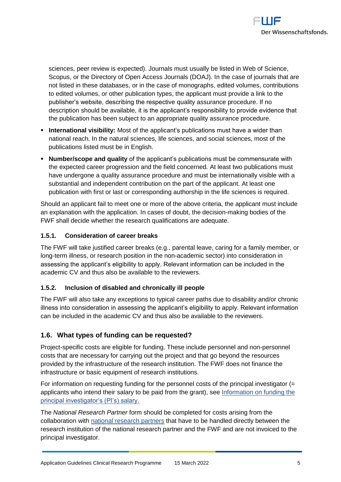

sciences, peer review is expected). Journals must usually be listed in Web of Science, Scopus, or the Directory of Open Access Journals (DOAJ). In the case of journals that are not listed in these databases, or in the case of monographs, edited volumes, contributions to edited volumes, or other publication types, the applicant must provide a link to the publisher's website, describing the respective quality assurance procedure. If no description should be available, it is the applicant's responsibility to provide evidence that the publication has been subject to an appropriate quality assurance procedure.

- **EXTERNIMIZE:** International visibility: Most of the applicant's publications must have a wider than national reach. In the natural sciences, life sciences, and social sciences, most of the publications listed must be in English.
- **EXECT Number/scope and quality** of the applicant's publications must be commensurate with the expected career progression and the field concerned. At least two publications must have undergone a quality assurance procedure and must be internationally visible with a substantial and independent contribution on the part of the applicant. At least one publication with first or last or corresponding authorship in the life sciences is required.

Should an applicant fail to meet one or more of the above criteria, the applicant must include an explanation with the application. In cases of doubt, the decision-making bodies of the FWF shall decide whether the research qualifications are adequate.

# <span id="page-4-0"></span>**1.5.1. Consideration of career breaks**

The FWF will take justified career breaks (e.g., parental leave, caring for a family member, or long-term illness, or research position in the non-academic sector) into consideration in assessing the applicant's eligibility to apply. Relevant information can be included in the academic CV and thus also be available to the reviewers.

#### <span id="page-4-1"></span>**1.5.2. Inclusion of disabled and chronically ill people**

The FWF will also take any exceptions to typical career paths due to disability and/or chronic illness into consideration in assessing the applicant's eligibility to apply. Relevant information can be included in the academic CV and thus also be available to the reviewers.

# <span id="page-4-2"></span>**1.6. What types of funding can be requested?**

Project-specific costs are eligible for funding. These include personnel and non-personnel costs that are necessary for carrying out the project and that go beyond the resources provided by the infrastructure of the research institution. The FWF does not finance the infrastructure or basic equipment of research institutions.

For information on requesting funding for the personnel costs of the principal investigator (= applicants who intend their salary to be paid from the grant), see [Information on funding the](https://www.fwf.ac.at/fileadmin/files/Dokumente/Antragstellung/information_grant-salaried-PI.pdf)  [principal investigator's \(PI's\) salary.](https://www.fwf.ac.at/fileadmin/files/Dokumente/Antragstellung/information_grant-salaried-PI.pdf)

The *National Research Partner* form should be completed for costs arising from the collaboration with [national research partners](https://www.fwf.ac.at/fileadmin/files/Dokumente/Antragstellung/glossary_application-guidelines.pdf) that have to be handled directly between the research institution of the national research partner and the FWF and are not invoiced to the principal investigator.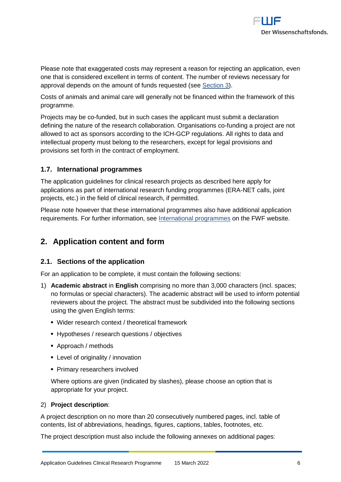

Please note that exaggerated costs may represent a reason for rejecting an application, even one that is considered excellent in terms of content. The number of reviews necessary for approval depends on the amount of funds requested (see [Section 3\)](#page-16-2).

Costs of animals and animal care will generally not be financed within the framework of this programme.

Projects may be co-funded, but in such cases the applicant must submit a declaration defining the nature of the research collaboration. Organisations co-funding a project are not allowed to act as sponsors according to the ICH-GCP regulations. All rights to data and intellectual property must belong to the researchers, except for legal provisions and provisions set forth in the contract of employment.

# <span id="page-5-0"></span>**1.7. International programmes**

The application guidelines for clinical research projects as described here apply for applications as part of international research funding programmes (ERA-NET calls, joint projects, etc.) in the field of clinical research, if permitted.

Please note however that these international programmes also have additional application requirements. For further information, see [International programmes](https://www.fwf.ac.at/en/research-funding/fwf-programmes/international-programmes/) on the FWF website.

# <span id="page-5-1"></span>**2. Application content and form**

# <span id="page-5-2"></span>**2.1. Sections of the application**

For an application to be complete, it must contain the following sections:

- 1) **Academic abstract** in **English** comprising no more than 3,000 characters (incl. spaces; no formulas or special characters). The academic abstract will be used to inform potential reviewers about the project. The abstract must be subdivided into the following sections using the given English terms:
	- Wider research context / theoretical framework
	- **EXP** Hypotheses / research questions / objectives
	- Approach / methods
	- Level of originality / innovation
	- **Primary researchers involved**

Where options are given (indicated by slashes), please choose an option that is appropriate for your project.

#### 2) **Project description**:

A project description on no more than 20 consecutively numbered pages, incl. table of contents, list of abbreviations, headings, figures, captions, tables, footnotes, etc.

The project description must also include the following annexes on additional pages: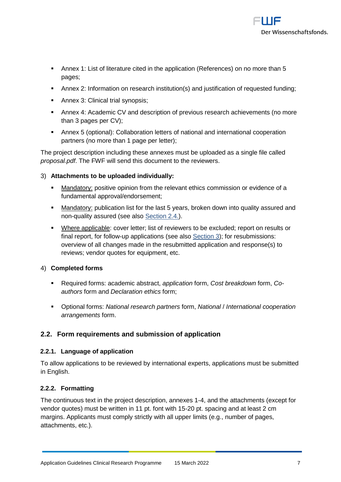

- Annex 1: List of literature cited in the application (References) on no more than 5 pages;
- Annex 2: Information on research institution(s) and justification of requested funding;
- Annex 3: Clinical trial synopsis:
- Annex 4: Academic CV and description of previous research achievements (no more than 3 pages per CV);
- Annex 5 (optional): Collaboration letters of national and international cooperation partners (no more than 1 page per letter);

The project description including these annexes must be uploaded as a single file called *proposal.pdf*. The FWF will send this document to the reviewers.

# 3) **Attachments to be uploaded individually:**

- Mandatory: positive opinion from the relevant ethics commission or evidence of a fundamental approval/endorsement;
- **■** Mandatory: publication list for the last 5 years, broken down into quality assured and non-quality assured (see also Section 2.4.).
- Where applicable: cover letter; list of reviewers to be excluded; report on results or final report, for follow-up applications (see also [Section 3\)](#page-16-2); for resubmissions: overview of all changes made in the resubmitted application and response(s) to reviews; vendor quotes for equipment, etc.

# 4) **Completed forms**

- Required forms: academic abstract, *application* form, *Cost breakdown* form, *Coauthors* form and *Declaration ethics* form;
- Optional forms: *National research partners* form, *National* / *International cooperation arrangements* form.

# <span id="page-6-0"></span>**2.2. Form requirements and submission of application**

#### <span id="page-6-1"></span>**2.2.1. Language of application**

To allow applications to be reviewed by international experts, applications must be submitted in English.

# <span id="page-6-2"></span>**2.2.2. Formatting**

The continuous text in the project description, annexes 1-4, and the attachments (except for vendor quotes) must be written in 11 pt. font with 15-20 pt. spacing and at least 2 cm margins. Applicants must comply strictly with all upper limits (e.g., number of pages, attachments, etc.).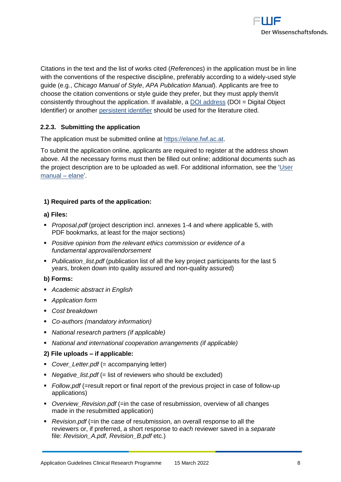

Citations in the text and the list of works cited (*References*) in the application must be in line with the conventions of the respective discipline, preferably according to a widely-used style guide (e.g., *Chicago Manual of Style*, *APA Publication Manual*). Applicants are free to choose the citation conventions or style guide they prefer, but they must apply them/it consistently throughout the application. If available, a [DOI address](http://www.doi.org/) (DOI = Digital Object Identifier) or another [persistent identifier](https://en.wikipedia.org/wiki/Persistent_identifier) should be used for the literature cited.

## <span id="page-7-0"></span>**2.2.3. Submitting the application**

The application must be submitted online at [https://elane.fwf.ac.at.](https://elane.fwf.ac.at/)

To submit the application online, applicants are required to register at the address shown above. All the necessary forms must then be filled out online; additional documents such as the project description are to be uploaded as well. For additional information, see the ['User](https://elane.fwf.ac.at/wicket/resource/org.apache.wicket.Application/QuickReference_en-ver-BEBE0AE980D9E3AAD9C10DE9C2B99684.pdf)  [manual –](https://elane.fwf.ac.at/wicket/resource/org.apache.wicket.Application/QuickReference_en-ver-BEBE0AE980D9E3AAD9C10DE9C2B99684.pdf) elane'.

#### **1) Required parts of the application:**

#### **a) Files:**

- *Proposal.pdf* (project description incl. annexes 1-4 and where applicable 5, with PDF bookmarks, at least for the major sections)
- *Positive opinion from the relevant ethics commission or evidence of a fundamental approval/endorsement*
- *Publication list.pdf (publication list of all the key project participants for the last 5* years, broken down into quality assured and non-quality assured)

#### **b) Forms:**

- *Academic abstract in English*
- *Application form*
- *Cost breakdown*
- *Co-authors (mandatory information)*
- *National research partners (if applicable)*
- *National and international cooperation arrangements (if applicable)*

#### **2) File uploads – if applicable:**

- *Cover\_Letter.pdf* (= accompanying letter)
- *Negative\_list.pdf* (= list of reviewers who should be excluded)
- *Follow.pdf* (=result report or final report of the previous project in case of follow-up applications)
- *Overview\_Revision.pdf* (=in the case of resubmission, overview of all changes made in the resubmitted application)
- *Revision.pdf* (=in the case of resubmission, an overall response to all the reviewers or, if preferred, a short response to *each* reviewer saved in a *separate* file: *Revision\_A.pdf, Revision\_B.pdf* etc.)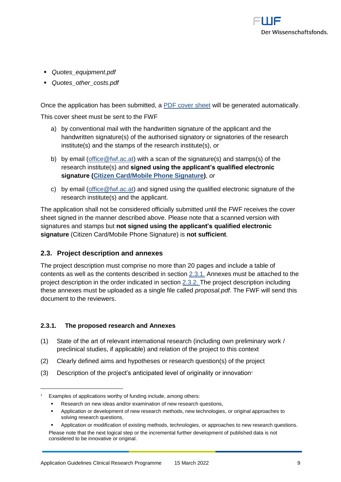

- *Quotes\_equipment.pdf*
- *Quotes\_other\_costs.pdf*

Once the application has been submitted, a [PDF cover sheet](https://www.fwf.ac.at/fileadmin/files/Dokumente/Antragstellung/glossary_application-guidelines.pdf) will be generated automatically.

This cover sheet must be sent to the FWF

- a) by conventional mail with the handwritten signature of the applicant and the handwritten signature(s) of the authorised signatory or signatories of the research institute(s) and the stamps of the research institute(s), *or*
- b) by email (office @fwf.ac.at) with a scan of the signature(s) and stamps(s) of the research institute(s) and **signed using the applicant's qualified electronic signature [\(Citizen Card/Mobile Phone Signature\)](https://www.buergerkarte.at/en/)**, *or*
- c) by email [\(office@fwf.ac.at\)](mailto:office@fwf.ac.at) and signed using the qualified electronic signature of the research institute(s) and the applicant.

The application shall not be considered officially submitted until the FWF receives the cover sheet signed in the manner described above. Please note that a scanned version with signatures and stamps but **not signed using the applicant's qualified electronic signature** (Citizen Card/Mobile Phone Signature) is **not sufficient**.

# <span id="page-8-0"></span>**2.3. Project description and annexes**

The project description must comprise no more than 20 pages and include a table of contents as well as the contents described in section 2.3.1. Annexes must be attached to the project description in the order indicated in section 2.3.2. The project description including these annexes must be uploaded as a single file called *proposal.pdf*. The FWF will send this document to the reviewers.

#### <span id="page-8-1"></span>**2.3.1. The proposed research and Annexes**

 $\overline{a}$ 

- (1) State of the art of relevant international research (including own preliminary work / preclinical studies, if applicable) and relation of the project to this context
- (2) Clearly defined aims and hypotheses or research question(s) of the project
- (3) Description of the project's anticipated level of originality or innovation<sup> $1$ </sup>

<sup>1</sup> Examples of applications worthy of funding include, among others:

Research on new ideas and/or examination of new research questions,

Application or development of new research methods, new technologies, or original approaches to solving research questions,

Application or modification of existing methods, technologies, or approaches to new research questions. Please note that the next logical step or the incremental further development of published data is not considered to be innovative or original.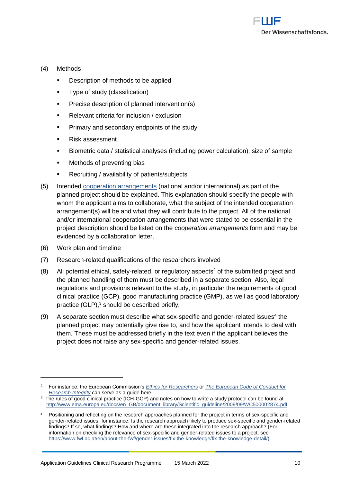

#### (4) Methods

- Description of methods to be applied
- Type of study (classification)
- Precise description of planned intervention(s)
- Relevant criteria for inclusion / exclusion
- Primary and secondary endpoints of the study
- Risk assessment
- Biometric data / statistical analyses (including power calculation), size of sample
- Methods of preventing bias
- Recruiting / availability of patients/subjects
- (5) Intended [cooperation arrangements](https://www.fwf.ac.at/fileadmin/files/Dokumente/Antragstellung/glossary_application-guidelines.pdf) (national and/or international) as part of the planned project should be explained. This explanation should specify the people with whom the applicant aims to collaborate, what the subject of the intended cooperation arrangement(s) will be and what they will contribute to the project. All of the national and/or international cooperation arrangements that were stated to be essential in the project description should be listed on the *cooperation arrangements* form and may be evidenced by a collaboration letter.
- (6) Work plan and timeline

- (7) Research-related qualifications of the researchers involved
- (8) All potential ethical, safety-related, or regulatory aspects<sup>2</sup> of the submitted project and the planned handling of them must be described in a separate section. Also, legal regulations and provisions relevant to the study, in particular the requirements of good clinical practice (GCP), good manufacturing practice (GMP), as well as good laboratory practice  $(GLP)$ ,  $3$  should be described briefly.
- $(9)$  A separate section must describe what sex-specific and gender-related issues<sup>4</sup> the planned project may potentially give rise to, and how the applicant intends to deal with them. These must be addressed briefly in the text even if the applicant believes the project does not raise any sex-specific and gender-related issues.

<sup>2</sup> For instance, the European Commission's *[Ethics for Researchers](http://ec.europa.eu/research/participants/data/ref/fp7/89888/ethics-for-researchers_en.pdf)* or *[The European Code of Conduct for](https://ec.europa.eu/research/participants/data/ref/h2020/other/hi/h2020-ethics_code-of-conduct_en.pdf)  [Research Integrity](https://ec.europa.eu/research/participants/data/ref/h2020/other/hi/h2020-ethics_code-of-conduct_en.pdf)* can serve as a guide here*.*

 $3$  The rules of good clinical practice (ICH-GCP) and notes on how to write a study protocol can be found at [http://www.ema.europa.eu/docs/en\\_GB/document\\_library/Scientific\\_guideline/2009/09/WC500002874.pdf](http://www.ema.europa.eu/docs/en_GB/document_library/Scientific_guideline/2009/09/WC500002874.pdf)

Positioning and reflecting on the research approaches planned for the project in terms of sex-specific and gender-related issues, for instance: Is the research approach likely to produce sex-specific and gender-related findings? If so, what findings? How and where are these integrated into the research approach? (For information on checking the relevance of sex-specific and gender-related issues to a project, see [https://www.fwf.ac.at/en/about-the-fwf/gender-issues/fix-the-knowledge/fix-the-knowledge-detail/\)](https://www.fwf.ac.at/en/about-the-fwf/gender-issues/fix-the-knowledge/fix-the-knowledge-detail/)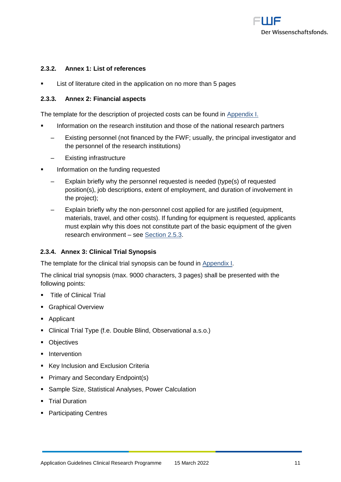

#### <span id="page-10-0"></span>**2.3.2. Annex 1: List of references**

List of literature cited in the application on no more than 5 pages

#### <span id="page-10-1"></span>**2.3.3. Annex 2: Financial aspects**

The template for the description of projected costs can be found in [Appendix I.](#page-21-0)

- Information on the research institution and those of the national research partners
	- Existing personnel (not financed by the FWF; usually, the principal investigator and the personnel of the research institutions)
	- ‒ Existing infrastructure
- Information on the funding requested
	- ‒ Explain briefly why the personnel requested is needed (type(s) of requested position(s), job descriptions, extent of employment, and duration of involvement in the project);
	- ‒ Explain briefly why the non-personnel cost applied for are justified (equipment, materials, travel, and other costs). If funding for equipment is requested, applicants must explain why this does not constitute part of the basic equipment of the given research environment – see [Section 2.5.3.](#page-12-3)

#### <span id="page-10-2"></span>**2.3.4. Annex 3: Clinical Trial Synopsis**

The template for the clinical trial synopsis can be found in [Appendix I.](#page-22-0)

The clinical trial synopsis (max. 9000 characters, 3 pages) shall be presented with the following points:

- **•** Title of Clinical Trial
- **E** Graphical Overview
- Applicant
- Clinical Trial Type (f.e. Double Blind, Observational a.s.o.)
- Objectives
- **·** Intervention
- Key Inclusion and Exclusion Criteria
- Primary and Secondary Endpoint(s)
- Sample Size, Statistical Analyses, Power Calculation
- Trial Duration
- Participating Centres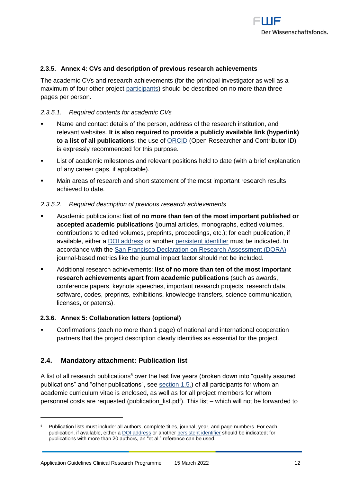

#### <span id="page-11-0"></span>**2.3.5. Annex 4: CVs and description of previous research achievements**

The academic CVs and research achievements (for the principal investigator as well as a maximum of four other project [participants\)](https://www.fwf.ac.at/fileadmin/files/Dokumente/Antragstellung/glossary_application-guidelines.pdf) should be described on no more than three pages per person.

#### *2.3.5.1. Required contents for academic CVs*

- Name and contact details of the person, address of the research institution, and relevant websites. **It is also required to provide a publicly available link (hyperlink) to a list of all publications**; the use of [ORCID](https://orcid.org/) (Open Researcher and Contributor ID) is expressly recommended for this purpose.
- List of academic milestones and relevant positions held to date (with a brief explanation of any career gaps, if applicable).
- Main areas of research and short statement of the most important research results achieved to date.

#### *2.3.5.2. Required description of previous research achievements*

- Academic publications: **list of no more than ten of the most important published or accepted academic publications** (journal articles, monographs, edited volumes, contributions to edited volumes, preprints, proceedings, etc.); for each publication, if available, either a [DOI address](http://www.doi.org/) or another [persistent identifier](http://en.wikipedia.org/wiki/Persistent_identifier) must be indicated. In accordance with the [San Francisco Declaration on Research Assessment \(DORA\),](https://sfdora.org/) journal-based metrics like the journal impact factor should not be included.
- Additional research achievements: **list of no more than ten of the most important research achievements apart from academic publications** (such as awards, conference papers, keynote speeches, important research projects, research data, software, codes, preprints, exhibitions, knowledge transfers, science communication, licenses, or patents).

#### <span id="page-11-1"></span>**2.3.6. Annex 5: Collaboration letters (optional)**

Confirmations (each no more than 1 page) of national and international cooperation partners that the project description clearly identifies as essential for the project.

## <span id="page-11-2"></span>**2.4. Mandatory attachment: Publication list**

A list of all research publications<sup>5</sup> over the last five years (broken down into "quality assured publications" and "other publications", see [section 1.5.\)](#page-3-1) of all participants for whom an academic curriculum vitae is enclosed, as well as for all project members for whom personnel costs are requested (publication\_list.pdf). This list – which will not be forwarded to

<sup>5</sup> Publication lists must include: all authors, complete titles, journal, year, and page numbers. For each publication, if available, either a [DOI address](http://www.doi.org/) or anothe[r persistent identifier](http://en.wikipedia.org/wiki/Persistent_identifier) should be indicated; for publications with more than 20 authors, an "et al." reference can be used.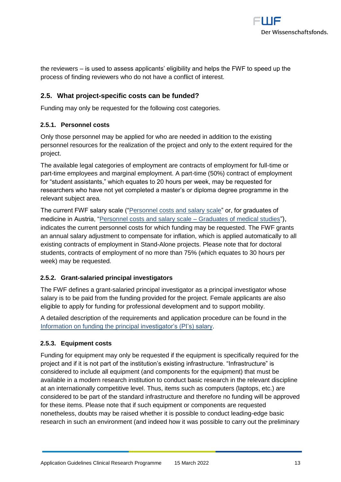

the reviewers – is used to assess applicants' eligibility and helps the FWF to speed up the process of finding reviewers who do not have a conflict of interest.

# <span id="page-12-0"></span>**2.5. What project-specific costs can be funded?**

Funding may only be requested for the following cost categories.

#### <span id="page-12-1"></span>**2.5.1. Personnel costs**

Only those personnel may be applied for who are needed in addition to the existing personnel resources for the realization of the project and only to the extent required for the project.

The available legal categories of employment are contracts of employment for full-time or part-time employees and marginal employment. A part-time (50%) contract of employment for "student assistants," which equates to 20 hours per week, may be requested for researchers who have not yet completed a master's or diploma degree programme in the relevant subject area.

The current FWF salary scale (["Personnel costs and salary scale"](https://www.fwf.ac.at/en/research-funding/personnel-costs/) or, for graduates of medicine in Austria, ["Personnel costs and salary scale –](http://www.fwf.ac.at/fileadmin/files/Dokumente/Personalkostensaetze/pek-2018-medizinerInnen.pdf) Graduates of medical studies"), indicates the current personnel costs for which funding may be requested. The FWF grants an annual salary adjustment to compensate for inflation, which is applied automatically to all existing contracts of employment in Stand-Alone projects. Please note that for doctoral students, contracts of employment of no more than 75% (which equates to 30 hours per week) may be requested.

#### <span id="page-12-2"></span>**2.5.2. Grant-salaried principal investigators**

The FWF defines a grant-salaried principal investigator as a principal investigator whose salary is to be paid from the funding provided for the project. Female applicants are also eligible to apply for funding for professional development and to support mobility.

A detailed description of the requirements and application procedure can be found in the [Information on funding the principal investigator's \(PI's\) salary.](https://www.fwf.ac.at/fileadmin/files/Dokumente/Antragstellung/information_grant-salaried-PI.pdf)

#### <span id="page-12-3"></span>**2.5.3. Equipment costs**

Funding for equipment may only be requested if the equipment is specifically required for the project and if it is not part of the institution's existing infrastructure. "Infrastructure" is considered to include all equipment (and components for the equipment) that must be available in a modern research institution to conduct basic research in the relevant discipline at an internationally competitive level. Thus, items such as computers (laptops, etc.) are considered to be part of the standard infrastructure and therefore no funding will be approved for these items. Please note that if such equipment or components are requested nonetheless, doubts may be raised whether it is possible to conduct leading-edge basic research in such an environment (and indeed how it was possible to carry out the preliminary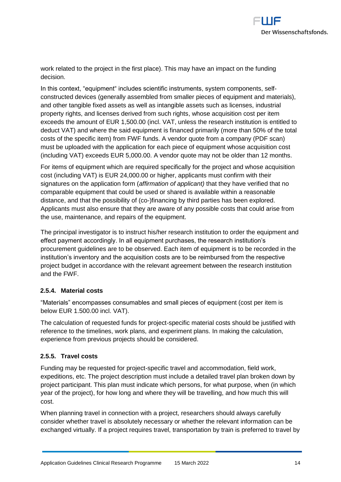

work related to the project in the first place). This may have an impact on the funding decision.

In this context, "equipment" includes scientific instruments, system components, selfconstructed devices (generally assembled from smaller pieces of equipment and materials), and other tangible fixed assets as well as intangible assets such as licenses, industrial property rights, and licenses derived from such rights, whose acquisition cost per item exceeds the amount of EUR 1,500.00 (incl. VAT, unless the research institution is entitled to deduct VAT) and where the said equipment is financed primarily (more than 50% of the total costs of the specific item) from FWF funds. A vendor quote from a company (PDF scan) must be uploaded with the application for each piece of equipment whose acquisition cost (including VAT) exceeds EUR 5,000.00. A vendor quote may not be older than 12 months.

For items of equipment which are required specifically for the project and whose acquisition cost (including VAT) is EUR 24,000.00 or higher, applicants must confirm with their signatures on the application form (*affirmation of applicant)* that they have verified that no comparable equipment that could be used or shared is available within a reasonable distance, and that the possibility of (co-)financing by third parties has been explored. Applicants must also ensure that they are aware of any possible costs that could arise from the use, maintenance, and repairs of the equipment.

The principal investigator is to instruct his/her research institution to order the equipment and effect payment accordingly. In all equipment purchases, the research institution's procurement guidelines are to be observed. Each item of equipment is to be recorded in the institution's inventory and the acquisition costs are to be reimbursed from the respective project budget in accordance with the relevant agreement between the research institution and the FWF.

#### <span id="page-13-0"></span>**2.5.4. Material costs**

"Materials" encompasses consumables and small pieces of equipment (cost per item is below EUR 1.500.00 incl. VAT).

The calculation of requested funds for project-specific material costs should be justified with reference to the timelines, work plans, and experiment plans. In making the calculation, experience from previous projects should be considered.

#### <span id="page-13-1"></span>**2.5.5. Travel costs**

Funding may be requested for project-specific travel and accommodation, field work, expeditions, etc. The project description must include a detailed travel plan broken down by project participant. This plan must indicate which persons, for what purpose, when (in which year of the project), for how long and where they will be travelling, and how much this will cost.

When planning travel in connection with a project, researchers should always carefully consider whether travel is absolutely necessary or whether the relevant information can be exchanged virtually. If a project requires travel, transportation by train is preferred to travel by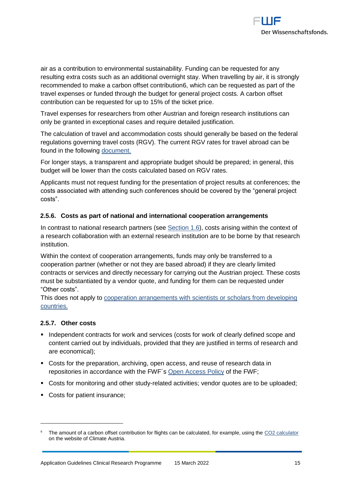

air as a contribution to environmental sustainability. Funding can be requested for any resulting extra costs such as an additional overnight stay. When travelling by air, it is strongly recommended to make a carbon offset contribution6, which can be requested as part of the travel expenses or funded through the budget for general project costs. A carbon offset contribution can be requested for up to 15% of the ticket price.

Travel expenses for researchers from other Austrian and foreign research institutions can only be granted in exceptional cases and require detailed justification.

The calculation of travel and accommodation costs should generally be based on the federal regulations governing travel costs (RGV). The current RGV rates for travel abroad can be found in the following [document.](http://www.fwf.ac.at/fileadmin/files/Dokumente/Downloads/bgbl.pdf)

For longer stays, a transparent and appropriate budget should be prepared; in general, this budget will be lower than the costs calculated based on RGV rates.

Applicants must not request funding for the presentation of project results at conferences; the costs associated with attending such conferences should be covered by the "general project costs".

## <span id="page-14-0"></span>**2.5.6. Costs as part of national and international cooperation arrangements**

In contrast to national research partners (see [Section 1.6\)](#page-3-2), costs arising within the context of a research collaboration with an external research institution are to be borne by that research institution.

Within the context of cooperation arrangements, funds may only be transferred to a cooperation partner (whether or not they are based abroad) if they are clearly limited contracts or services and directly necessary for carrying out the Austrian project. These costs must be substantiated by a vendor quote, and funding for them can be requested under "Other costs".

This does not apply to [cooperation arrangements with scientists or scholars from developing](https://www.fwf.ac.at/en/research-funding/fwf-programmes/international-programmes/developing-countries-projects/)  [countries.](https://www.fwf.ac.at/en/research-funding/fwf-programmes/international-programmes/developing-countries-projects/)

#### <span id="page-14-1"></span>**2.5.7. Other costs**

 $\overline{a}$ 

- Independent contracts for work and services (costs for work of clearly defined scope and content carried out by individuals, provided that they are justified in terms of research and are economical);
- Costs for the preparation, archiving, open access, and reuse of research data in repositories in accordance with the FWF´s [Open Access Policy](https://www.fwf.ac.at/en/research-funding/open-access-policy/) of the FWF;
- Costs for monitoring and other study-related activities; vendor quotes are to be uploaded;
- Costs for patient insurance;

The amount of a carbon offset contribution for flights can be calculated, for example, using the [CO2 calculator](https://www.climateaustria.at/eng/co2offsetting.html) on the website of Climate Austria.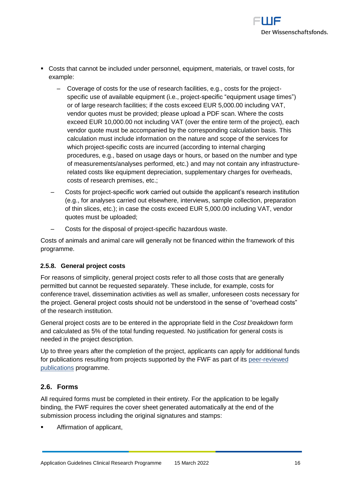

- Costs that cannot be included under personnel, equipment, materials, or travel costs, for example:
	- ‒ Coverage of costs for the use of research facilities, e.g., costs for the projectspecific use of available equipment (i.e., project-specific "equipment usage times") or of large research facilities; if the costs exceed EUR 5,000.00 including VAT, vendor quotes must be provided; please upload a PDF scan. Where the costs exceed EUR 10,000.00 not including VAT (over the entire term of the project), each vendor quote must be accompanied by the corresponding calculation basis. This calculation must include information on the nature and scope of the services for which project-specific costs are incurred (according to internal charging procedures, e.g., based on usage days or hours, or based on the number and type of measurements/analyses performed, etc.) and may not contain any infrastructurerelated costs like equipment depreciation, supplementary charges for overheads, costs of research premises, etc.;
	- ‒ Costs for project-specific work carried out outside the applicant's research institution (e.g., for analyses carried out elsewhere, interviews, sample collection, preparation of thin slices, etc.); in case the costs exceed EUR 5,000.00 including VAT, vendor quotes must be uploaded;
	- ‒ Costs for the disposal of project-specific hazardous waste.

Costs of animals and animal care will generally not be financed within the framework of this programme.

# <span id="page-15-0"></span>**2.5.8. General project costs**

For reasons of simplicity, general project costs refer to all those costs that are generally permitted but cannot be requested separately. These include, for example, costs for conference travel, dissemination activities as well as smaller, unforeseen costs necessary for the project. General project costs should not be understood in the sense of "overhead costs" of the research institution.

General project costs are to be entered in the appropriate field in the *Cost breakdown* form and calculated as 5% of the total funding requested. No justification for general costs is needed in the project description.

Up to three years after the completion of the project, applicants can apply for additional funds for publications resulting from projects supported by the FWF as part of its [peer-reviewed](https://www.fwf.ac.at/en/research-funding/fwf-programmes/peer-reviewed-publications/)  [publications](https://www.fwf.ac.at/en/research-funding/fwf-programmes/peer-reviewed-publications/) programme.

# <span id="page-15-1"></span>**2.6. Forms**

All required forms must be completed in their entirety. For the application to be legally binding, the FWF requires the cover sheet generated automatically at the end of the submission process including the original signatures and stamps:

Affirmation of applicant,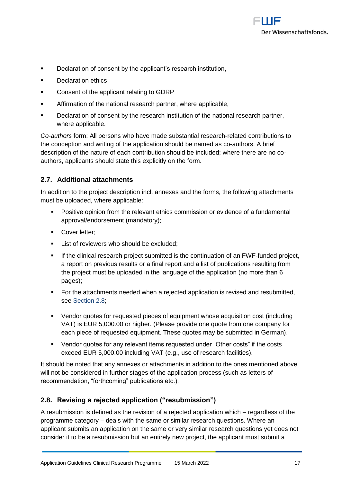

- Declaration of consent by the applicant's research institution,
- Declaration ethics
- Consent of the applicant relating to GDRP
- **EXECT** Affirmation of the national research partner, where applicable,
- **EXEC** Declaration of consent by the research institution of the national research partner, where applicable.

*Co-authors* form: All persons who have made substantial research-related contributions to the conception and writing of the application should be named as co-authors. A brief description of the nature of each contribution should be included; where there are no coauthors, applicants should state this explicitly on the form.

## <span id="page-16-0"></span>**2.7. Additional attachments**

In addition to the project description incl. annexes and the forms, the following attachments must be uploaded, where applicable:

- Positive opinion from the relevant ethics commission or evidence of a fundamental approval/endorsement (mandatory);
- Cover letter:
- **EXECUTE:** List of reviewers who should be excluded;
- If the clinical research project submitted is the continuation of an FWF-funded project, a report on previous results or a final report and a list of publications resulting from the project must be uploaded in the language of the application (no more than 6 pages);
- For the attachments needed when a rejected application is revised and resubmitted. see [Section 2.8](#page-16-3);
- Vendor quotes for requested pieces of equipment whose acquisition cost (including VAT) is EUR 5,000.00 or higher. (Please provide one quote from one company for each piece of requested equipment. These quotes may be submitted in German).
- Vendor quotes for any relevant items requested under "Other costs" if the costs exceed EUR 5,000.00 including VAT (e.g., use of research facilities).

<span id="page-16-3"></span>It should be noted that any annexes or attachments in addition to the ones mentioned above will not be considered in further stages of the application process (such as letters of recommendation, "forthcoming" publications etc.).

# <span id="page-16-1"></span>**2.8. Revising a rejected application ("resubmission")**

<span id="page-16-2"></span>A resubmission is defined as the revision of a rejected application which – regardless of the programme category – deals with the same or similar research questions. Where an applicant submits an application on the same or very similar research questions yet does not consider it to be a resubmission but an entirely new project, the applicant must submit a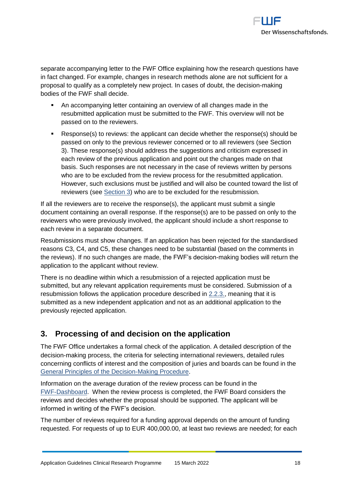

separate accompanying letter to the FWF Office explaining how the research questions have in fact changed. For example, changes in research methods alone are not sufficient for a proposal to qualify as a completely new project. In cases of doubt, the decision-making bodies of the FWF shall decide.

- An accompanying letter containing an overview of all changes made in the resubmitted application must be submitted to the FWF. This overview will not be passed on to the reviewers.
- Response(s) to reviews: the applicant can decide whether the response(s) should be passed on only to the previous reviewer concerned or to all reviewers (see Section 3). These response(s) should address the suggestions and criticism expressed in each review of the previous application and point out the changes made on that basis. Such responses are not necessary in the case of reviews written by persons who are to be excluded from the review process for the resubmitted application. However, such exclusions must be justified and will also be counted toward the list of reviewers (see [Section 3\)](#page-17-1) who are to be excluded for the resubmission.

If all the reviewers are to receive the response(s), the applicant must submit a single document containing an overall response. If the response(s) are to be passed on only to the reviewers who were previously involved, the applicant should include a short response to each review in a separate document.

Resubmissions must show changes. If an application has been rejected for the standardised reasons C3, C4, and C5, these changes need to be substantial (based on the comments in the reviews). If no such changes are made, the FWF's decision-making bodies will return the application to the applicant without review.

There is no deadline within which a resubmission of a rejected application must be submitted, but any relevant application requirements must be considered. Submission of a resubmission follows the application procedure described in [2.2.3.,](#page-7-0) meaning that it is submitted as a new independent application and not as an additional application to the previously rejected application.

# <span id="page-17-1"></span><span id="page-17-0"></span>**3. Processing of and decision on the application**

The FWF Office undertakes a formal check of the application. A detailed description of the decision-making process, the criteria for selecting international reviewers, detailed rules concerning conflicts of interest and the composition of juries and boards can be found in the [General Principles of the Decision-Making Procedure.](https://www.fwf.ac.at/en/research-funding/decision-making-procedure-evaluation/decision-making-procedure/)

Information on the average duration of the review process can be found in the [FWF-Dashboard.](http://dashboard.fwf.ac.at/en/) When the review process is completed, the FWF Board considers the reviews and decides whether the proposal should be supported. The applicant will be informed in writing of the FWF's decision.

The number of reviews required for a funding approval depends on the amount of funding requested. For requests of up to EUR 400,000.00, at least two reviews are needed; for each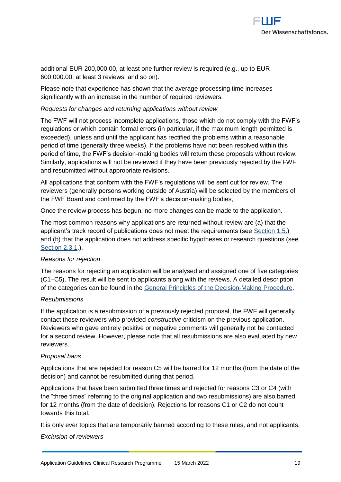

additional EUR 200,000.00, at least one further review is required (e.g., up to EUR 600,000.00, at least 3 reviews, and so on).

Please note that experience has shown that the average processing time increases significantly with an increase in the number of required reviewers.

#### *Requests for changes and returning applications without review*

The FWF will not process incomplete applications, those which do not comply with the FWF's regulations or which contain formal errors (in particular, if the maximum length permitted is exceeded), unless and until the applicant has rectified the problems within a reasonable period of time (generally three weeks). If the problems have not been resolved within this period of time, the FWF's decision-making bodies will return these proposals without review. Similarly, applications will not be reviewed if they have been previously rejected by the FWF and resubmitted without appropriate revisions.

All applications that conform with the FWF's regulations will be sent out for review. The reviewers (generally persons working outside of Austria) will be selected by the members of the FWF Board and confirmed by the FWF's decision-making bodies,

Once the review process has begun, no more changes can be made to the application.

The most common reasons why applications are returned without review are (a) that the applicant's track record of publications does not meet the requirements (see [Section 1.5.](#page-3-1)) and (b) that the application does not address specific hypotheses or research questions (see Section 2.3.1.).

#### *Reasons for rejection*

The reasons for rejecting an application will be analysed and assigned one of five categories (C1–C5). The result will be sent to applicants along with the reviews. A detailed description of the categories can be found in the [General Principles of the Decision-Making Procedure.](https://www.fwf.ac.at/en/research-funding/decision-making-procedure-evaluation/decision-making-procedure/)

#### *Resubmissions*

If the application is a resubmission of a previously rejected proposal, the FWF will generally contact those reviewers who provided *constructive* criticism on the previous application. Reviewers who gave entirely positive or negative comments will generally not be contacted for a second review. However, please note that all resubmissions are also evaluated by new reviewers.

#### *Proposal bans*

Applications that are rejected for reason C5 will be barred for 12 months (from the date of the decision) and cannot be resubmitted during that period.

Applications that have been submitted three times and rejected for reasons C3 or C4 (with the "three times" referring to the original application and two resubmissions) are also barred for 12 months (from the date of decision). Rejections for reasons C1 or C2 do not count towards this total.

It is only ever topics that are temporarily banned according to these rules, and not applicants.

#### *Exclusion of reviewers*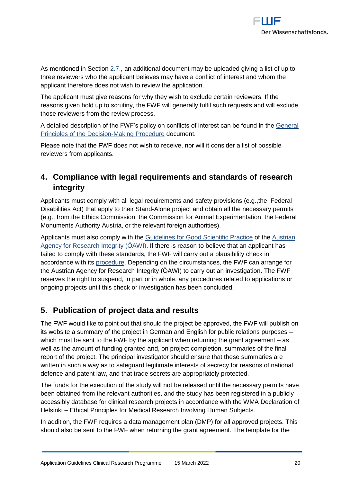

As mentioned in Section [2.7.,](#page-16-0) an additional document may be uploaded giving a list of up to three reviewers who the applicant believes may have a conflict of interest and whom the applicant therefore does not wish to review the application.

The applicant must give reasons for why they wish to exclude certain reviewers. If the reasons given hold up to scrutiny, the FWF will generally fulfil such requests and will exclude those reviewers from the review process.

A detailed description of the FWF's policy on conflicts of interest can be found in the [General](https://www.fwf.ac.at/en/research-funding/decision-making-procedure-evaluation/decision-making-procedure/)  [Principles of the Decision-Making Procedure](https://www.fwf.ac.at/en/research-funding/decision-making-procedure-evaluation/decision-making-procedure/) document.

Please note that the FWF does not wish to receive, nor will it consider a list of possible reviewers from applicants.

# <span id="page-19-0"></span>**4. Compliance with legal requirements and standards of research integrity**

Applicants must comply with all legal requirements and safety provisions (e.g.,the Federal Disabilities Act) that apply to their Stand-Alone project and obtain all the necessary permits (e.g., from the Ethics Commission, the Commission for Animal Experimentation, the Federal Monuments Authority Austria, or the relevant foreign authorities).

Applicants must also comply with the [Guidelines for Good Scientific Practice](https://oeawi.at/en/guidelines/) of the [Austrian](https://oeawi.at/en/)  [Agency for Research Integrity \(ÖAWI\).](https://oeawi.at/en/) If there is reason to believe that an applicant has failed to comply with these standards, the FWF will carry out a plausibility check in accordance with its [procedure.](https://www.fwf.ac.at/fileadmin/files/Dokumente/Research_Integrity_Ethics/FWF_Verfahren_Research_Misconduct-en.pdf) Depending on the circumstances, the FWF can arrange for the Austrian Agency for Research Integrity (ÖAWI) to carry out an investigation. The FWF reserves the right to suspend, in part or in whole, any procedures related to applications or ongoing projects until this check or investigation has been concluded.

# <span id="page-19-1"></span>**5. Publication of project data and results**

The FWF would like to point out that should the project be approved, the FWF will publish on its website a summary of the project in German and English for public relations purposes – which must be sent to the FWF by the applicant when returning the grant agreement – as well as the amount of funding granted and, on project completion, summaries of the final report of the project. The principal investigator should ensure that these summaries are written in such a way as to safeguard legitimate interests of secrecy for reasons of national defence and patent law, and that trade secrets are appropriately protected.

The funds for the execution of the study will not be released until the necessary permits have been obtained from the relevant authorities, and the study has been registered in a publicly accessibly database for clinical research projects in accordance with the WMA Declaration of Helsinki – Ethical Principles for Medical Research Involving Human Subjects.

In addition, the FWF requires a data management plan (DMP) for all approved projects. This should also be sent to the FWF when returning the grant agreement. The template for the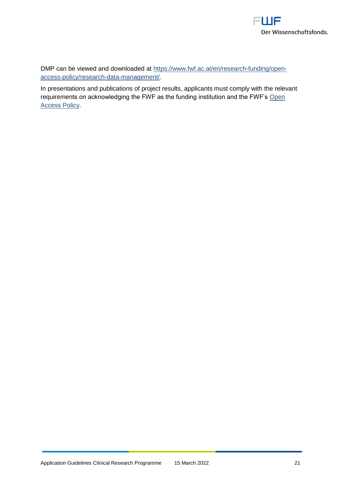

DMP can be viewed and downloaded at [https://www.fwf.ac.at/en/research-funding/open](https://www.fwf.ac.at/en/research-funding/open-access-policy/research-data-management/)[access-policy/research-data-management/.](https://www.fwf.ac.at/en/research-funding/open-access-policy/research-data-management/)

In presentations and publications of project results, applicants must comply with the relevant requirements on acknowledging the FWF as the funding institution and the FWF's [Open](https://www.fwf.ac.at/de/forschungsfoerderung/open-access-policy/https:/www.fwf.ac.at/de/forschungsfoerderung/open-access-policy/) [Access](https://www.fwf.ac.at/de/forschungsfoerderung/open-access-policy/https:/www.fwf.ac.at/de/forschungsfoerderung/open-access-policy/) Policy.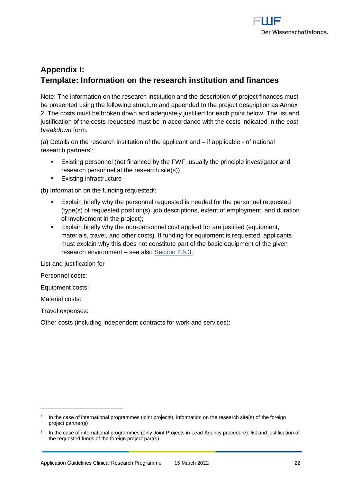

# <span id="page-21-0"></span>**Appendix I: Template: Information on the research institution and finances**

Note: The information on the research institution and the description of project finances must be presented using the following structure and appended to the project description as Annex 2. The costs must be broken down and adequately justified for each point below. The list and justification of the costs requested must be in accordance with the costs indicated in the *cost breakdown* form.

(a) Details on the research institution of the applicant and – if applicable - of national research partners<sup>7</sup>:

- Existing personnel (not financed by the FWF, usually the principle investigator and research personnel at the research site(s))
- **Existing infrastructure**

(b) Information on the funding requested<sup>®</sup>:

- Explain briefly why the personnel requested is needed for the personnel requested (type(s) of requested position(s), job descriptions, extent of employment, and duration of involvement in the project);
- Explain briefly why the non-personnel cost applied for are justified (equipment, materials, travel, and other costs). If funding for equipment is requested, applicants must explain why this does not constitute part of the basic equipment of the given research environment – see also [Section 2.5.3](#page-12-3) .

List and justification for

Personnel costs:

Equipment costs:

Material costs:

 $\overline{a}$ 

Travel expenses:

Other costs (including independent contracts for work and services):

<sup>7</sup> In the case of international programmes (joint projects), information on the research site(s) of the foreign project partner(s)

<sup>8</sup> In the case of international programmes (only Joint Projects in Lead Agency procedure): list and justification of the requested funds of the foreign project part(s)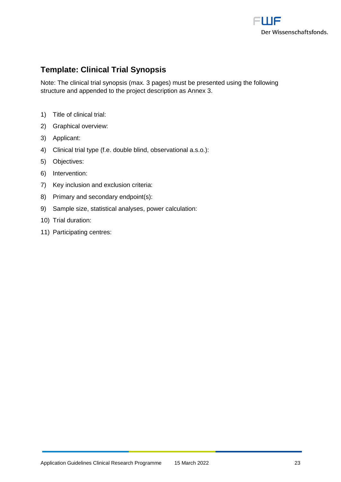

# <span id="page-22-0"></span>**Template: Clinical Trial Synopsis**

Note: The clinical trial synopsis (max. 3 pages) must be presented using the following structure and appended to the project description as Annex 3.

- 1) Title of clinical trial:
- 2) Graphical overview:
- 3) Applicant:
- 4) Clinical trial type (f.e. double blind, observational a.s.o.):
- 5) Objectives:
- 6) Intervention:
- 7) Key inclusion and exclusion criteria:
- 8) Primary and secondary endpoint(s):
- 9) Sample size, statistical analyses, power calculation:
- 10) Trial duration:
- 11) Participating centres: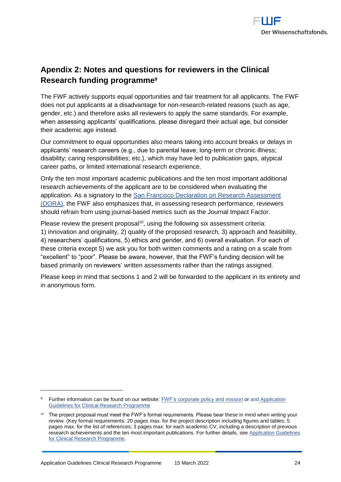

# <span id="page-23-0"></span>**Apendix 2: Notes and questions for reviewers in the Clinical Research funding programme<sup>9</sup>**

The FWF actively supports equal opportunities and fair treatment for all applicants. The FWF does not put applicants at a disadvantage for non-research-related reasons (such as age, gender, etc.) and therefore asks all reviewers to apply the same standards. For example, when assessing applicants' qualifications, please disregard their actual age, but consider their academic age instead.

Our commitment to equal opportunities also means taking into account breaks or delays in applicants' research careers (e.g., due to parental leave; long-term or chronic illness; disability; caring responsibilities; etc.), which may have led to publication gaps, atypical career paths, or limited international research experience.

Only the ten most important academic publications and the ten most important additional research achievements of the applicant are to be considered when evaluating the application. As a signatory to the [San Francisco Declaration](https://sfdora.org/read/) on Research Assessment [\(DORA\),](https://sfdora.org/read/) the FWF also emphasizes that, in assessing research performance, reviewers should refrain from using journal-based metrics such as the Journal Impact Factor.

Please review the present proposal<sup>10</sup>, using the following six assessment criteria:

1) innovation and originality, 2) quality of the proposed research, 3) approach and feasibility, 4) researchers' qualifications, 5) ethics and gender, and 6) overall evaluation. For each of these criteria except 5) we ask you for both written comments and a rating on a scale from "excellent" to "poor". Please be aware, however, that the FWF's funding decision will be based primarily on reviewers' written assessments rather than the ratings assigned.

Please keep in mind that sections 1 and 2 will be forwarded to the applicant in its entirety and in anonymous form.

 $\overline{a}$ 

Further information can be found on our website[: FWF's corporate policy and mission](https://www.fwf.ac.at/en/about-the-fwf/corporate-policy/) or and Application [Guidelines for Clinical Research Programme](https://www.fwf.ac.at/en/research-funding/fwf-programmes/programme-clinical-research-klif)

<sup>&</sup>lt;sup>10</sup> The project proposal must meet the FWF's formal requirements. Please bear these in mind when writing your review. (Key formal requirements: 20 pages max. for the project description including figures and tables; 5 pages max. for the list of references; 3 pages max. for each academic CV, including a description of previous research achievements and the ten most important publications. For further details, see [Application Guidelines](https://www.fwf.ac.at/en/research-funding/fwf-programmes/programme-clinical-research-klif)  [for Clinical Research Programme.](https://www.fwf.ac.at/en/research-funding/fwf-programmes/programme-clinical-research-klif)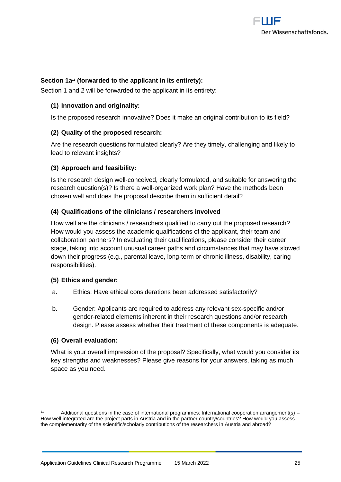

#### **Section 1a<sup>11</sup> (forwarded to the applicant in its entirety):**

Section 1 and 2 will be forwarded to the applicant in its entirety:

#### **(1) Innovation and originality:**

Is the proposed research innovative? Does it make an original contribution to its field?

#### **(2) Quality of the proposed research:**

Are the research questions formulated clearly? Are they timely, challenging and likely to lead to relevant insights?

#### **(3) Approach and feasibility:**

Is the research design well-conceived, clearly formulated, and suitable for answering the research question(s)? Is there a well-organized work plan? Have the methods been chosen well and does the proposal describe them in sufficient detail?

#### **(4) Qualifications of the clinicians / researchers involved**

How well are the clinicians / researchers qualified to carry out the proposed research? How would you assess the academic qualifications of the applicant, their team and collaboration partners? In evaluating their qualifications, please consider their career stage, taking into account unusual career paths and circumstances that may have slowed down their progress (e.g., parental leave, long-term or chronic illness, disability, caring responsibilities).

#### **(5) Ethics and gender:**

- a. Ethics: Have ethical considerations been addressed satisfactorily?
- b. Gender: Applicants are required to address any relevant sex-specific and/or gender-related elements inherent in their research questions and/or research design. Please assess whether their treatment of these components is adequate.

#### **(6) Overall evaluation:**

 $\overline{a}$ 

What is your overall impression of the proposal? Specifically, what would you consider its key strengths and weaknesses? Please give reasons for your answers, taking as much space as you need.

<sup>11</sup> Additional questions in the case of international programmes: International cooperation arrangement(s) – How well integrated are the project parts in Austria and in the partner country/countries? How would you assess the complementarity of the scientific/scholarly contributions of the researchers in Austria and abroad?